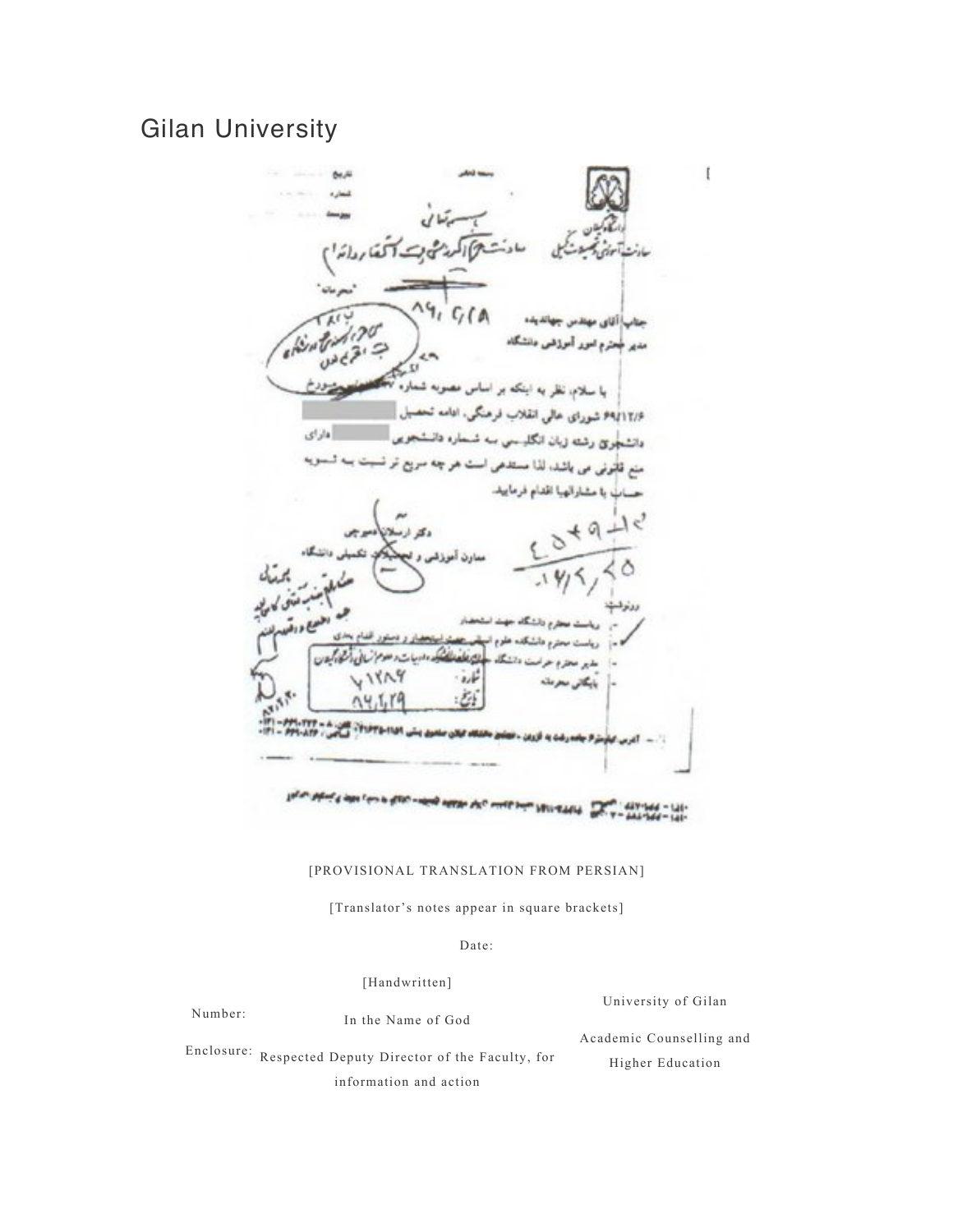# Gilan University



## [PROVISIONAL TRANSLATION FROM PERSIAN]

[Translator's notes appear in square brackets]

#### Date:

[Handwritten]

| Number: | In the Name of God                                       | University of Gilan      |
|---------|----------------------------------------------------------|--------------------------|
|         |                                                          | Academic Counselling and |
|         | Enclosure: Respected Deputy Director of the Faculty, for |                          |
|         | information and action                                   | Higher Education         |
|         |                                                          |                          |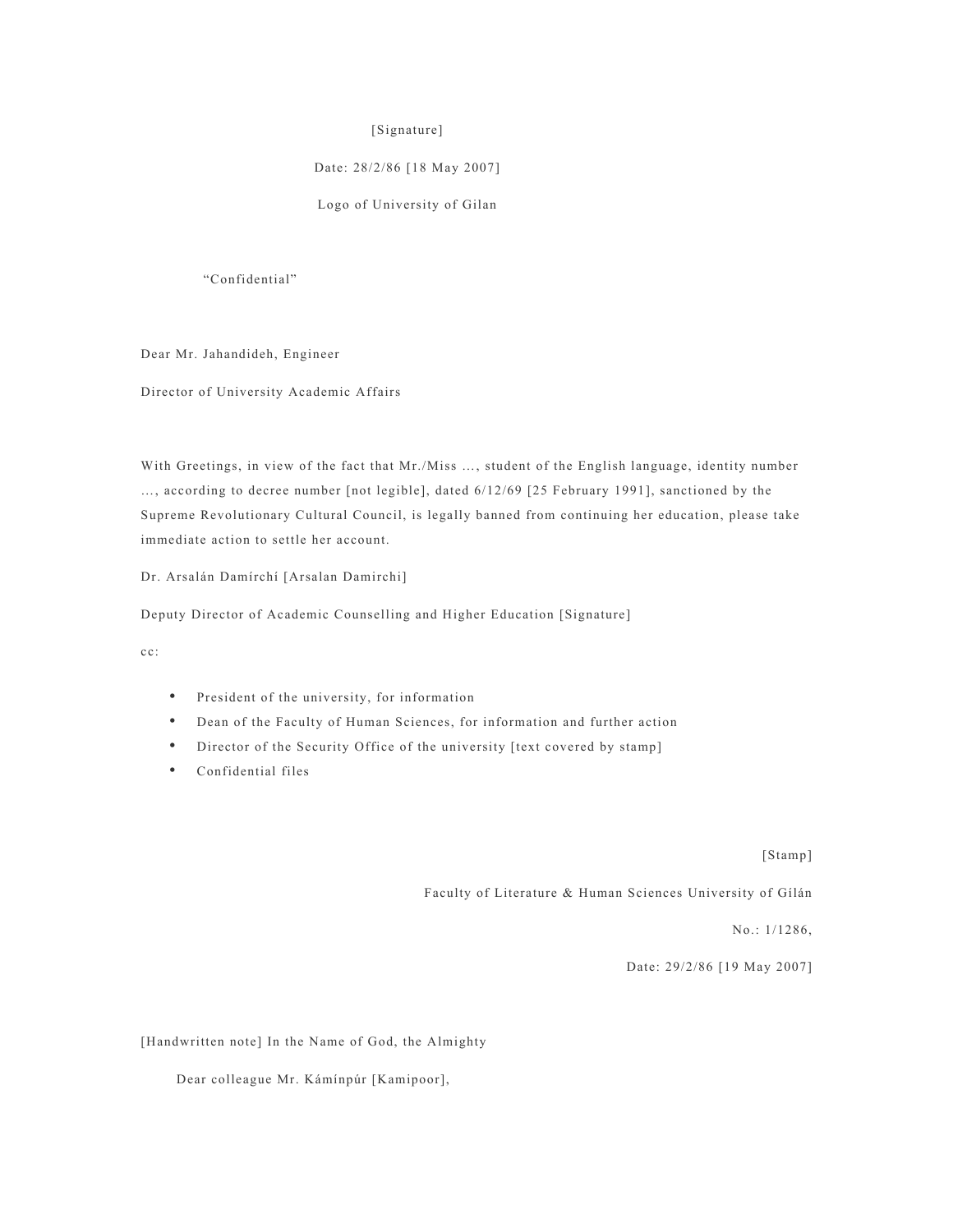### [Signature]

# Date: 28/2/86 [18 May 2007]

Logo of University of Gilan

"Confidential"

Dear Mr. Jahandideh, Engineer

Director of University Academic Affairs

With Greetings, in view of the fact that Mr./Miss …, student of the English language, identity number …, according to decree number [not legible], dated 6/12/69 [25 February 1991], sanctioned by the Supreme Revolutionary Cultural Council, is legally banned from continuing her education, please take immediate action to settle her account.

Dr. Arsalán Damírchí [Arsalan Damirchi]

Deputy Director of Academic Counselling and Higher Education [Signature]

cc:

- President of the university, for information
- Dean of the Faculty of Human Sciences, for information and further action
- Director of the Security Office of the university [text covered by stamp]
- Confidential files

[Stamp]

Faculty of Literature & Human Sciences University of Gílán

No.: 1/1286,

Date: 29/2/86 [19 May 2007]

[Handwritten note] In the Name of God, the Almighty

Dear colleague Mr. Kámínpúr [Kamipoor],